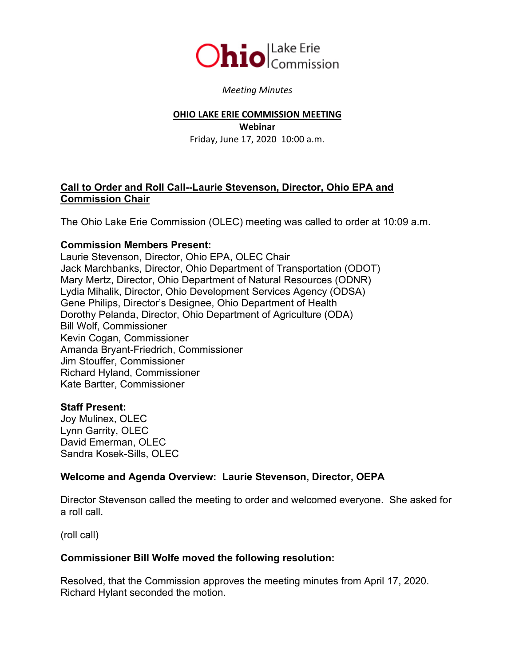

#### *Meeting Minutes*

#### **OHIO LAKE ERIE COMMISSION MEETING**

**Webinar** Friday, June 17, 2020 10:00 a.m.

## **Call to Order and Roll Call--Laurie Stevenson, Director, Ohio EPA and Commission Chair**

The Ohio Lake Erie Commission (OLEC) meeting was called to order at 10:09 a.m.

#### **Commission Members Present:**

Laurie Stevenson, Director, Ohio EPA, OLEC Chair Jack Marchbanks, Director, Ohio Department of Transportation (ODOT) Mary Mertz, Director, Ohio Department of Natural Resources (ODNR) Lydia Mihalik, Director, Ohio Development Services Agency (ODSA) Gene Philips, Director's Designee, Ohio Department of Health Dorothy Pelanda, Director, Ohio Department of Agriculture (ODA) Bill Wolf, Commissioner Kevin Cogan, Commissioner Amanda Bryant-Friedrich, Commissioner Jim Stouffer, Commissioner Richard Hyland, Commissioner Kate Bartter, Commissioner

### **Staff Present:**

Joy Mulinex, OLEC Lynn Garrity, OLEC David Emerman, OLEC Sandra Kosek-Sills, OLEC

# **Welcome and Agenda Overview: Laurie Stevenson, Director, OEPA**

Director Stevenson called the meeting to order and welcomed everyone. She asked for a roll call.

(roll call)

### **Commissioner Bill Wolfe moved the following resolution:**

Resolved, that the Commission approves the meeting minutes from April 17, 2020. Richard Hylant seconded the motion.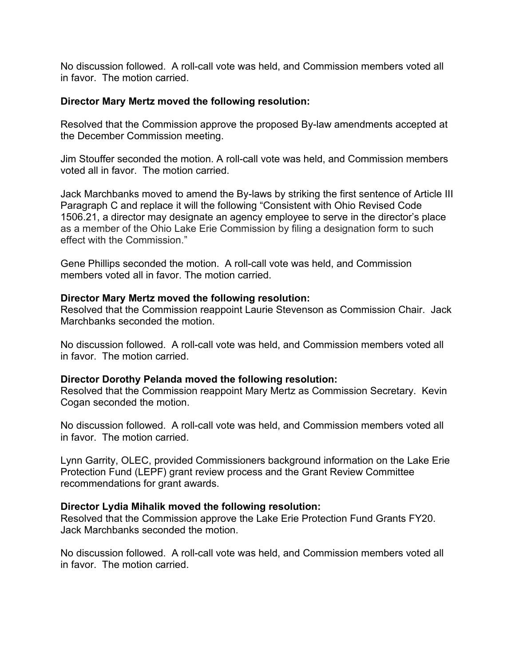No discussion followed. A roll-call vote was held, and Commission members voted all in favor. The motion carried.

### **Director Mary Mertz moved the following resolution:**

Resolved that the Commission approve the proposed By-law amendments accepted at the December Commission meeting.

Jim Stouffer seconded the motion. A roll-call vote was held, and Commission members voted all in favor. The motion carried.

Jack Marchbanks moved to amend the By-laws by striking the first sentence of Article III Paragraph C and replace it will the following "Consistent with Ohio Revised Code 1506.21, a director may designate an agency employee to serve in the director's place as a member of the Ohio Lake Erie Commission by filing a designation form to such effect with the Commission."

Gene Phillips seconded the motion. A roll-call vote was held, and Commission members voted all in favor. The motion carried.

## **Director Mary Mertz moved the following resolution:**

Resolved that the Commission reappoint Laurie Stevenson as Commission Chair. Jack Marchbanks seconded the motion.

No discussion followed. A roll-call vote was held, and Commission members voted all in favor. The motion carried.

### **Director Dorothy Pelanda moved the following resolution:**

Resolved that the Commission reappoint Mary Mertz as Commission Secretary. Kevin Cogan seconded the motion.

No discussion followed. A roll-call vote was held, and Commission members voted all in favor. The motion carried.

Lynn Garrity, OLEC, provided Commissioners background information on the Lake Erie Protection Fund (LEPF) grant review process and the Grant Review Committee recommendations for grant awards.

### **Director Lydia Mihalik moved the following resolution:**

Resolved that the Commission approve the Lake Erie Protection Fund Grants FY20. Jack Marchbanks seconded the motion.

No discussion followed. A roll-call vote was held, and Commission members voted all in favor. The motion carried.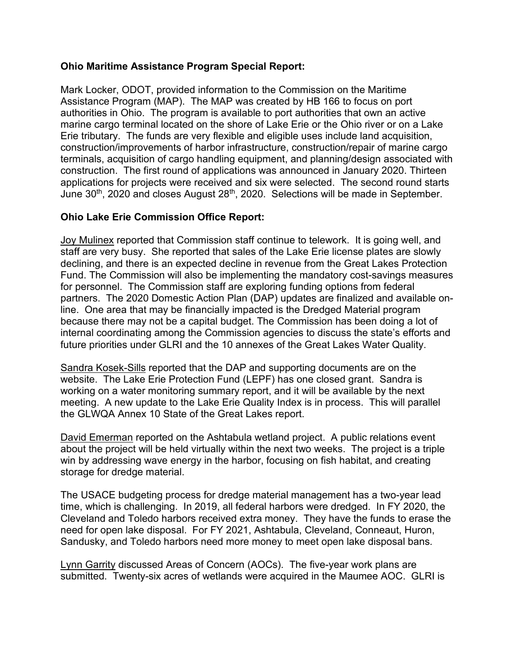## **Ohio Maritime Assistance Program Special Report:**

Mark Locker, ODOT, provided information to the Commission on the Maritime Assistance Program (MAP). The MAP was created by HB 166 to focus on port authorities in Ohio. The program is available to port authorities that own an active marine cargo terminal located on the shore of Lake Erie or the Ohio river or on a Lake Erie tributary. The funds are very flexible and eligible uses include land acquisition, construction/improvements of harbor infrastructure, construction/repair of marine cargo terminals, acquisition of cargo handling equipment, and planning/design associated with construction. The first round of applications was announced in January 2020. Thirteen applications for projects were received and six were selected. The second round starts June  $30<sup>th</sup>$ , 2020 and closes August  $28<sup>th</sup>$ , 2020. Selections will be made in September.

# **Ohio Lake Erie Commission Office Report:**

Joy Mulinex reported that Commission staff continue to telework. It is going well, and staff are very busy. She reported that sales of the Lake Erie license plates are slowly declining, and there is an expected decline in revenue from the Great Lakes Protection Fund. The Commission will also be implementing the mandatory cost-savings measures for personnel. The Commission staff are exploring funding options from federal partners. The 2020 Domestic Action Plan (DAP) updates are finalized and available online. One area that may be financially impacted is the Dredged Material program because there may not be a capital budget. The Commission has been doing a lot of internal coordinating among the Commission agencies to discuss the state's efforts and future priorities under GLRI and the 10 annexes of the Great Lakes Water Quality.

Sandra Kosek-Sills reported that the DAP and supporting documents are on the website. The Lake Erie Protection Fund (LEPF) has one closed grant. Sandra is working on a water monitoring summary report, and it will be available by the next meeting. A new update to the Lake Erie Quality Index is in process. This will parallel the GLWQA Annex 10 State of the Great Lakes report.

David Emerman reported on the Ashtabula wetland project. A public relations event about the project will be held virtually within the next two weeks. The project is a triple win by addressing wave energy in the harbor, focusing on fish habitat, and creating storage for dredge material.

The USACE budgeting process for dredge material management has a two-year lead time, which is challenging. In 2019, all federal harbors were dredged. In FY 2020, the Cleveland and Toledo harbors received extra money. They have the funds to erase the need for open lake disposal. For FY 2021, Ashtabula, Cleveland, Conneaut, Huron, Sandusky, and Toledo harbors need more money to meet open lake disposal bans.

Lynn Garrity discussed Areas of Concern (AOCs). The five-year work plans are submitted. Twenty-six acres of wetlands were acquired in the Maumee AOC. GLRI is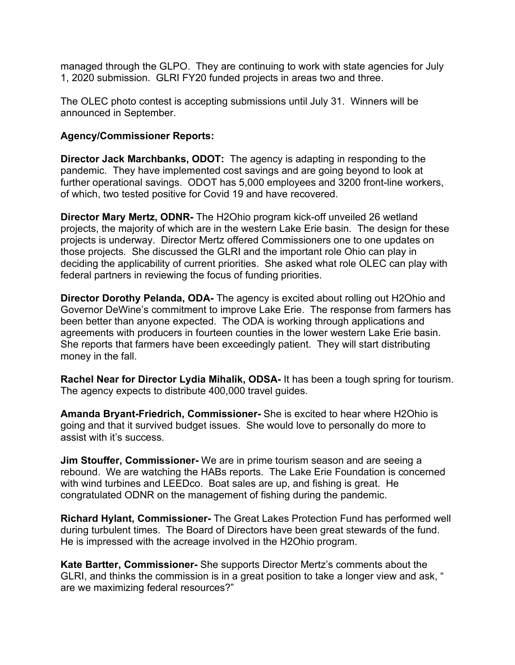managed through the GLPO. They are continuing to work with state agencies for July 1, 2020 submission. GLRI FY20 funded projects in areas two and three.

The OLEC photo contest is accepting submissions until July 31. Winners will be announced in September.

## **Agency/Commissioner Reports:**

**Director Jack Marchbanks, ODOT:** The agency is adapting in responding to the pandemic. They have implemented cost savings and are going beyond to look at further operational savings. ODOT has 5,000 employees and 3200 front-line workers, of which, two tested positive for Covid 19 and have recovered.

**Director Mary Mertz, ODNR-** The H2Ohio program kick-off unveiled 26 wetland projects, the majority of which are in the western Lake Erie basin. The design for these projects is underway. Director Mertz offered Commissioners one to one updates on those projects. She discussed the GLRI and the important role Ohio can play in deciding the applicability of current priorities. She asked what role OLEC can play with federal partners in reviewing the focus of funding priorities.

**Director Dorothy Pelanda, ODA-** The agency is excited about rolling out H2Ohio and Governor DeWine's commitment to improve Lake Erie. The response from farmers has been better than anyone expected. The ODA is working through applications and agreements with producers in fourteen counties in the lower western Lake Erie basin. She reports that farmers have been exceedingly patient. They will start distributing money in the fall.

**Rachel Near for Director Lydia Mihalik, ODSA-** It has been a tough spring for tourism. The agency expects to distribute 400,000 travel guides.

**Amanda Bryant-Friedrich, Commissioner-** She is excited to hear where H2Ohio is going and that it survived budget issues. She would love to personally do more to assist with it's success.

**Jim Stouffer, Commissioner-** We are in prime tourism season and are seeing a rebound. We are watching the HABs reports. The Lake Erie Foundation is concerned with wind turbines and LEEDco. Boat sales are up, and fishing is great. He congratulated ODNR on the management of fishing during the pandemic.

**Richard Hylant, Commissioner-** The Great Lakes Protection Fund has performed well during turbulent times. The Board of Directors have been great stewards of the fund. He is impressed with the acreage involved in the H2Ohio program.

**Kate Bartter, Commissioner-** She supports Director Mertz's comments about the GLRI, and thinks the commission is in a great position to take a longer view and ask, " are we maximizing federal resources?"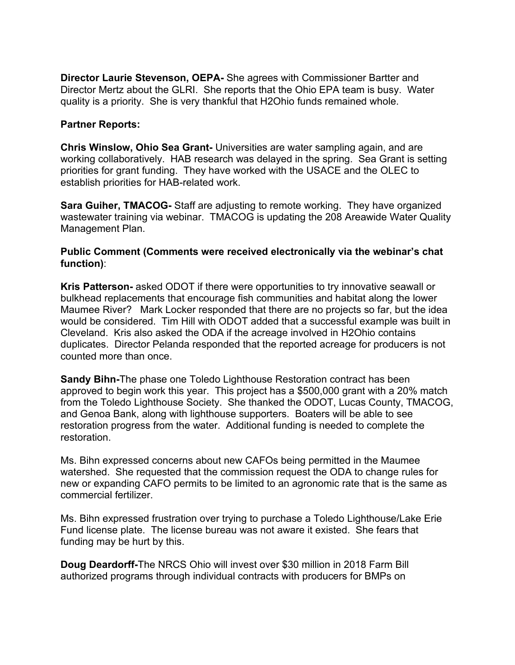**Director Laurie Stevenson, OEPA-** She agrees with Commissioner Bartter and Director Mertz about the GLRI. She reports that the Ohio EPA team is busy. Water quality is a priority. She is very thankful that H2Ohio funds remained whole.

## **Partner Reports:**

**Chris Winslow, Ohio Sea Grant-** Universities are water sampling again, and are working collaboratively. HAB research was delayed in the spring. Sea Grant is setting priorities for grant funding. They have worked with the USACE and the OLEC to establish priorities for HAB-related work.

**Sara Guiher, TMACOG-** Staff are adjusting to remote working. They have organized wastewater training via webinar. TMACOG is updating the 208 Areawide Water Quality Management Plan.

## **Public Comment (Comments were received electronically via the webinar's chat function)**:

**Kris Patterson-** asked ODOT if there were opportunities to try innovative seawall or bulkhead replacements that encourage fish communities and habitat along the lower Maumee River? Mark Locker responded that there are no projects so far, but the idea would be considered. Tim Hill with ODOT added that a successful example was built in Cleveland. Kris also asked the ODA if the acreage involved in H2Ohio contains duplicates. Director Pelanda responded that the reported acreage for producers is not counted more than once.

**Sandy Bihn-**The phase one Toledo Lighthouse Restoration contract has been approved to begin work this year. This project has a \$500,000 grant with a 20% match from the Toledo Lighthouse Society. She thanked the ODOT, Lucas County, TMACOG, and Genoa Bank, along with lighthouse supporters. Boaters will be able to see restoration progress from the water. Additional funding is needed to complete the restoration.

Ms. Bihn expressed concerns about new CAFOs being permitted in the Maumee watershed. She requested that the commission request the ODA to change rules for new or expanding CAFO permits to be limited to an agronomic rate that is the same as commercial fertilizer.

Ms. Bihn expressed frustration over trying to purchase a Toledo Lighthouse/Lake Erie Fund license plate. The license bureau was not aware it existed. She fears that funding may be hurt by this.

**Doug Deardorff-**The NRCS Ohio will invest over \$30 million in 2018 Farm Bill authorized programs through individual contracts with producers for BMPs on